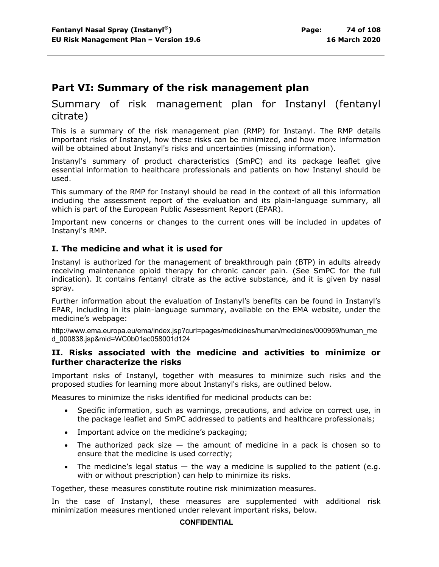# **Part VI: Summary of the risk management plan**

# Summary of risk management plan for Instanyl (fentanyl citrate)

This is a summary of the risk management plan (RMP) for Instanyl. The RMP details important risks of Instanyl, how these risks can be minimized, and how more information will be obtained about Instanyl's risks and uncertainties (missing information).

Instanyl's summary of product characteristics (SmPC) and its package leaflet give essential information to healthcare professionals and patients on how Instanyl should be used.

This summary of the RMP for Instanyl should be read in the context of all this information including the assessment report of the evaluation and its plain-language summary, all which is part of the European Public Assessment Report (EPAR).

Important new concerns or changes to the current ones will be included in updates of Instanyl's RMP.

#### **I. The medicine and what it is used for**

Instanyl is authorized for the management of breakthrough pain (BTP) in adults already receiving maintenance opioid therapy for chronic cancer pain. (See SmPC for the full indication). It contains fentanyl citrate as the active substance, and it is given by nasal spray.

Further information about the evaluation of Instanyl's benefits can be found in Instanyl's EPAR, including in its plain-language summary, available on the EMA website, under the medicine's webpage:

http://www.ema.europa.eu/ema/index.jsp?curl=pages/medicines/human/medicines/000959/human\_me d\_000838.jsp&mid=WC0b01ac058001d124

#### **II. Risks associated with the medicine and activities to minimize or further characterize the risks**

Important risks of Instanyl, together with measures to minimize such risks and the proposed studies for learning more about Instanyl's risks, are outlined below.

Measures to minimize the risks identified for medicinal products can be:

- Specific information, such as warnings, precautions, and advice on correct use, in the package leaflet and SmPC addressed to patients and healthcare professionals;
- Important advice on the medicine's packaging;
- The authorized pack size  $-$  the amount of medicine in a pack is chosen so to ensure that the medicine is used correctly;
- The medicine's legal status  $-$  the way a medicine is supplied to the patient (e.g. with or without prescription) can help to minimize its risks.

Together, these measures constitute routine risk minimization measures.

In the case of Instanyl, these measures are supplemented with additional risk minimization measures mentioned under relevant important risks, below.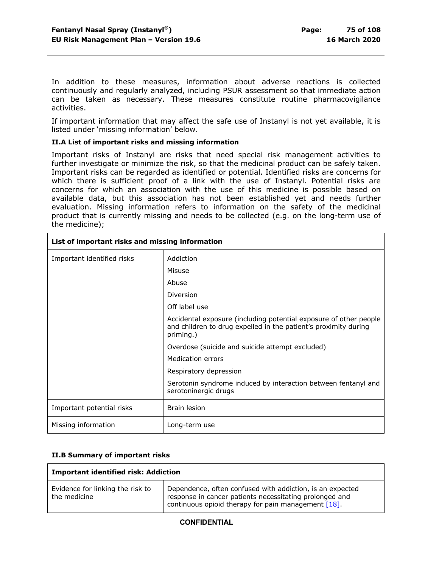In addition to these measures, information about adverse reactions is collected continuously and regularly analyzed, including PSUR assessment so that immediate action can be taken as necessary. These measures constitute routine pharmacovigilance activities.

If important information that may affect the safe use of Instanyl is not yet available, it is listed under 'missing information' below.

#### **II.A List of important risks and missing information**

Important risks of Instanyl are risks that need special risk management activities to further investigate or minimize the risk, so that the medicinal product can be safely taken. Important risks can be regarded as identified or potential. Identified risks are concerns for which there is sufficient proof of a link with the use of Instanyl. Potential risks are concerns for which an association with the use of this medicine is possible based on available data, but this association has not been established yet and needs further evaluation. Missing information refers to information on the safety of the medicinal product that is currently missing and needs to be collected (e.g. on the long-term use of the medicine);

| List of important risks and missing information |                                                                                                                                                   |
|-------------------------------------------------|---------------------------------------------------------------------------------------------------------------------------------------------------|
| Important identified risks                      | Addiction                                                                                                                                         |
|                                                 | Misuse                                                                                                                                            |
|                                                 | Abuse                                                                                                                                             |
|                                                 | Diversion                                                                                                                                         |
|                                                 | Off label use                                                                                                                                     |
|                                                 | Accidental exposure (including potential exposure of other people<br>and children to drug expelled in the patient's proximity during<br>priming.) |
|                                                 | Overdose (suicide and suicide attempt excluded)                                                                                                   |
|                                                 | Medication errors                                                                                                                                 |
|                                                 | Respiratory depression                                                                                                                            |
|                                                 | Serotonin syndrome induced by interaction between fentanyl and<br>serotoninergic drugs                                                            |
| Important potential risks                       | Brain lesion                                                                                                                                      |
| Missing information                             | Long-term use                                                                                                                                     |

#### **II.B Summary of important risks**

| <b>Important identified risk: Addiction</b>      |                                                                                                                                                                             |
|--------------------------------------------------|-----------------------------------------------------------------------------------------------------------------------------------------------------------------------------|
| Evidence for linking the risk to<br>the medicine | Dependence, often confused with addiction, is an expected<br>response in cancer patients necessitating prolonged and<br>continuous opioid therapy for pain management [18]. |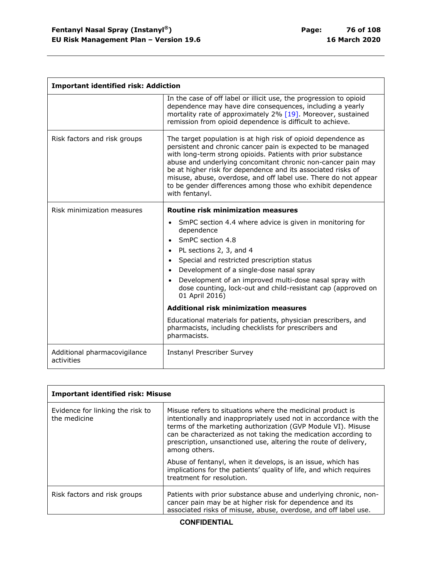r

| <b>Important identified risk: Addiction</b> |                                                                                                                                                                                                                                                                                                                                                                                                                                                                                                                                                            |
|---------------------------------------------|------------------------------------------------------------------------------------------------------------------------------------------------------------------------------------------------------------------------------------------------------------------------------------------------------------------------------------------------------------------------------------------------------------------------------------------------------------------------------------------------------------------------------------------------------------|
|                                             | In the case of off label or illicit use, the progression to opioid<br>dependence may have dire consequences, including a yearly<br>mortality rate of approximately 2% [19]. Moreover, sustained<br>remission from opioid dependence is difficult to achieve.                                                                                                                                                                                                                                                                                               |
| Risk factors and risk groups                | The target population is at high risk of opioid dependence as<br>persistent and chronic cancer pain is expected to be managed<br>with long-term strong opioids. Patients with prior substance<br>abuse and underlying concomitant chronic non-cancer pain may<br>be at higher risk for dependence and its associated risks of<br>misuse, abuse, overdose, and off label use. There do not appear<br>to be gender differences among those who exhibit dependence<br>with fentanyl.                                                                          |
| Risk minimization measures                  | <b>Routine risk minimization measures</b>                                                                                                                                                                                                                                                                                                                                                                                                                                                                                                                  |
|                                             | SmPC section 4.4 where advice is given in monitoring for<br>dependence<br>SmPC section 4.8<br>• PL sections 2, 3, and 4<br>• Special and restricted prescription status<br>Development of a single-dose nasal spray<br>Development of an improved multi-dose nasal spray with<br>dose counting, lock-out and child-resistant cap (approved on<br>01 April 2016)<br><b>Additional risk minimization measures</b><br>Educational materials for patients, physician prescribers, and<br>pharmacists, including checklists for prescribers and<br>pharmacists. |
| Additional pharmacovigilance<br>activities  | <b>Instanyl Prescriber Survey</b>                                                                                                                                                                                                                                                                                                                                                                                                                                                                                                                          |

| <b>Important identified risk: Misuse</b>         |                                                                                                                                                                                                                                                                                                                                                       |
|--------------------------------------------------|-------------------------------------------------------------------------------------------------------------------------------------------------------------------------------------------------------------------------------------------------------------------------------------------------------------------------------------------------------|
| Evidence for linking the risk to<br>the medicine | Misuse refers to situations where the medicinal product is<br>intentionally and inappropriately used not in accordance with the<br>terms of the marketing authorization (GVP Module VI). Misuse<br>can be characterized as not taking the medication according to<br>prescription, unsanctioned use, altering the route of delivery,<br>among others. |
|                                                  | Abuse of fentanyl, when it develops, is an issue, which has<br>implications for the patients' quality of life, and which requires<br>treatment for resolution.                                                                                                                                                                                        |
| Risk factors and risk groups                     | Patients with prior substance abuse and underlying chronic, non-<br>cancer pain may be at higher risk for dependence and its<br>associated risks of misuse, abuse, overdose, and off label use.                                                                                                                                                       |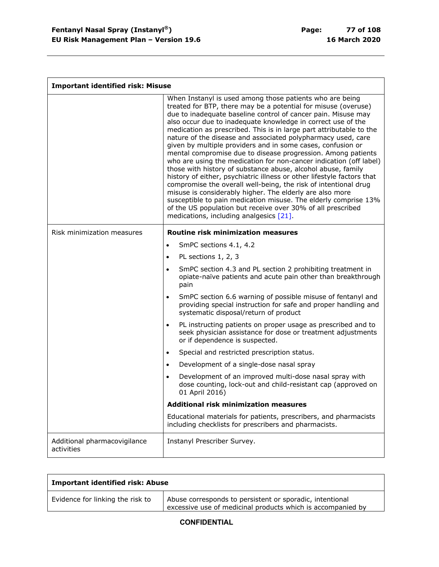$\overline{\Gamma}$ 

| <b>Important identified risk: Misuse</b>   |                                                                                                                                                                                                                                                                                                                                                                                                                                                                                                                                                                                                                                                                                                                                                                                                                                                                                                                                                                                                                                                               |
|--------------------------------------------|---------------------------------------------------------------------------------------------------------------------------------------------------------------------------------------------------------------------------------------------------------------------------------------------------------------------------------------------------------------------------------------------------------------------------------------------------------------------------------------------------------------------------------------------------------------------------------------------------------------------------------------------------------------------------------------------------------------------------------------------------------------------------------------------------------------------------------------------------------------------------------------------------------------------------------------------------------------------------------------------------------------------------------------------------------------|
|                                            | When Instanyl is used among those patients who are being<br>treated for BTP, there may be a potential for misuse (overuse)<br>due to inadequate baseline control of cancer pain. Misuse may<br>also occur due to inadequate knowledge in correct use of the<br>medication as prescribed. This is in large part attributable to the<br>nature of the disease and associated polypharmacy used, care<br>given by multiple providers and in some cases, confusion or<br>mental compromise due to disease progression. Among patients<br>who are using the medication for non-cancer indication (off label)<br>those with history of substance abuse, alcohol abuse, family<br>history of either, psychiatric illness or other lifestyle factors that<br>compromise the overall well-being, the risk of intentional drug<br>misuse is considerably higher. The elderly are also more<br>susceptible to pain medication misuse. The elderly comprise 13%<br>of the US population but receive over 30% of all prescribed<br>medications, including analgesics [21]. |
| Risk minimization measures                 | <b>Routine risk minimization measures</b>                                                                                                                                                                                                                                                                                                                                                                                                                                                                                                                                                                                                                                                                                                                                                                                                                                                                                                                                                                                                                     |
|                                            | SmPC sections 4.1, 4.2<br>$\bullet$                                                                                                                                                                                                                                                                                                                                                                                                                                                                                                                                                                                                                                                                                                                                                                                                                                                                                                                                                                                                                           |
|                                            | PL sections 1, 2, 3<br>$\bullet$                                                                                                                                                                                                                                                                                                                                                                                                                                                                                                                                                                                                                                                                                                                                                                                                                                                                                                                                                                                                                              |
|                                            | SmPC section 4.3 and PL section 2 prohibiting treatment in<br>$\bullet$<br>opiate-naïve patients and acute pain other than breakthrough<br>pain                                                                                                                                                                                                                                                                                                                                                                                                                                                                                                                                                                                                                                                                                                                                                                                                                                                                                                               |
|                                            | SmPC section 6.6 warning of possible misuse of fentanyl and<br>$\bullet$<br>providing special instruction for safe and proper handling and<br>systematic disposal/return of product                                                                                                                                                                                                                                                                                                                                                                                                                                                                                                                                                                                                                                                                                                                                                                                                                                                                           |
|                                            | PL instructing patients on proper usage as prescribed and to<br>$\bullet$<br>seek physician assistance for dose or treatment adjustments<br>or if dependence is suspected.                                                                                                                                                                                                                                                                                                                                                                                                                                                                                                                                                                                                                                                                                                                                                                                                                                                                                    |
|                                            | Special and restricted prescription status.<br>$\bullet$                                                                                                                                                                                                                                                                                                                                                                                                                                                                                                                                                                                                                                                                                                                                                                                                                                                                                                                                                                                                      |
|                                            | Development of a single-dose nasal spray<br>$\bullet$                                                                                                                                                                                                                                                                                                                                                                                                                                                                                                                                                                                                                                                                                                                                                                                                                                                                                                                                                                                                         |
|                                            | Development of an improved multi-dose nasal spray with<br>$\bullet$<br>dose counting, lock-out and child-resistant cap (approved on<br>01 April 2016)                                                                                                                                                                                                                                                                                                                                                                                                                                                                                                                                                                                                                                                                                                                                                                                                                                                                                                         |
|                                            | <b>Additional risk minimization measures</b>                                                                                                                                                                                                                                                                                                                                                                                                                                                                                                                                                                                                                                                                                                                                                                                                                                                                                                                                                                                                                  |
|                                            | Educational materials for patients, prescribers, and pharmacists<br>including checklists for prescribers and pharmacists.                                                                                                                                                                                                                                                                                                                                                                                                                                                                                                                                                                                                                                                                                                                                                                                                                                                                                                                                     |
| Additional pharmacovigilance<br>activities | Instanyl Prescriber Survey.                                                                                                                                                                                                                                                                                                                                                                                                                                                                                                                                                                                                                                                                                                                                                                                                                                                                                                                                                                                                                                   |

| <b>Important identified risk: Abuse</b> |                                                                                                                         |
|-----------------------------------------|-------------------------------------------------------------------------------------------------------------------------|
| Evidence for linking the risk to        | Abuse corresponds to persistent or sporadic, intentional<br>excessive use of medicinal products which is accompanied by |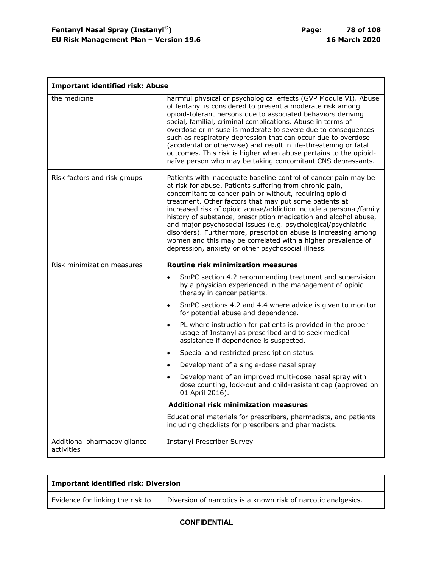| <b>Important identified risk: Abuse</b>    |                                                                                                                                                                                                                                                                                                                                                                                                                                                                                                                                                                                                                                                      |
|--------------------------------------------|------------------------------------------------------------------------------------------------------------------------------------------------------------------------------------------------------------------------------------------------------------------------------------------------------------------------------------------------------------------------------------------------------------------------------------------------------------------------------------------------------------------------------------------------------------------------------------------------------------------------------------------------------|
| the medicine                               | harmful physical or psychological effects (GVP Module VI). Abuse<br>of fentanyl is considered to present a moderate risk among<br>opioid-tolerant persons due to associated behaviors deriving<br>social, familial, criminal complications. Abuse in terms of<br>overdose or misuse is moderate to severe due to consequences<br>such as respiratory depression that can occur due to overdose<br>(accidental or otherwise) and result in life-threatening or fatal<br>outcomes. This risk is higher when abuse pertains to the opioid-<br>naïve person who may be taking concomitant CNS depressants.                                               |
| Risk factors and risk groups               | Patients with inadequate baseline control of cancer pain may be<br>at risk for abuse. Patients suffering from chronic pain,<br>concomitant to cancer pain or without, requiring opioid<br>treatment. Other factors that may put some patients at<br>increased risk of opioid abuse/addiction include a personal/family<br>history of substance, prescription medication and alcohol abuse,<br>and major psychosocial issues (e.g. psychological/psychiatric<br>disorders). Furthermore, prescription abuse is increasing among<br>women and this may be correlated with a higher prevalence of<br>depression, anxiety or other psychosocial illness. |
| Risk minimization measures                 | <b>Routine risk minimization measures</b>                                                                                                                                                                                                                                                                                                                                                                                                                                                                                                                                                                                                            |
|                                            | SmPC section 4.2 recommending treatment and supervision<br>$\bullet$<br>by a physician experienced in the management of opioid<br>therapy in cancer patients.                                                                                                                                                                                                                                                                                                                                                                                                                                                                                        |
|                                            | SmPC sections 4.2 and 4.4 where advice is given to monitor<br>$\bullet$<br>for potential abuse and dependence.                                                                                                                                                                                                                                                                                                                                                                                                                                                                                                                                       |
|                                            | PL where instruction for patients is provided in the proper<br>$\bullet$<br>usage of Instanyl as prescribed and to seek medical<br>assistance if dependence is suspected.                                                                                                                                                                                                                                                                                                                                                                                                                                                                            |
|                                            | Special and restricted prescription status.<br>$\bullet$                                                                                                                                                                                                                                                                                                                                                                                                                                                                                                                                                                                             |
|                                            | Development of a single-dose nasal spray<br>$\bullet$                                                                                                                                                                                                                                                                                                                                                                                                                                                                                                                                                                                                |
|                                            | Development of an improved multi-dose nasal spray with<br>dose counting, lock-out and child-resistant cap (approved on<br>01 April 2016).                                                                                                                                                                                                                                                                                                                                                                                                                                                                                                            |
|                                            | <b>Additional risk minimization measures</b>                                                                                                                                                                                                                                                                                                                                                                                                                                                                                                                                                                                                         |
|                                            | Educational materials for prescribers, pharmacists, and patients<br>including checklists for prescribers and pharmacists.                                                                                                                                                                                                                                                                                                                                                                                                                                                                                                                            |
| Additional pharmacovigilance<br>activities | <b>Instanyl Prescriber Survey</b>                                                                                                                                                                                                                                                                                                                                                                                                                                                                                                                                                                                                                    |

| <b>Important identified risk: Diversion</b> |                                                                |
|---------------------------------------------|----------------------------------------------------------------|
| Evidence for linking the risk to            | Diversion of narcotics is a known risk of narcotic analgesics. |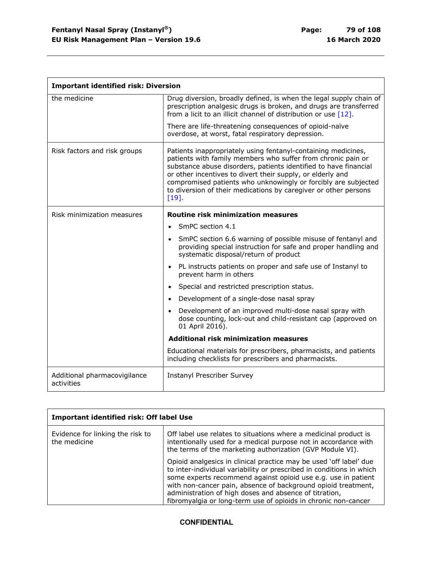$\mathbf{r}$ 

| <b>Important identified risk: Diversion</b> |                                                                                                                                                                                                                                                                                                                                                                                                              |
|---------------------------------------------|--------------------------------------------------------------------------------------------------------------------------------------------------------------------------------------------------------------------------------------------------------------------------------------------------------------------------------------------------------------------------------------------------------------|
| the medicine                                | Drug diversion, broadly defined, is when the legal supply chain of<br>prescription analgesic drugs is broken, and drugs are transferred<br>from a licit to an illicit channel of distribution or use $[12]$ .<br>There are life-threatening consequences of opioid-naïve                                                                                                                                     |
|                                             | overdose, at worst, fatal respiratory depression.                                                                                                                                                                                                                                                                                                                                                            |
| Risk factors and risk groups                | Patients inappropriately using fentanyl-containing medicines,<br>patients with family members who suffer from chronic pain or<br>substance abuse disorders, patients identified to have financial<br>or other incentives to divert their supply, or elderly and<br>compromised patients who unknowingly or forcibly are subjected<br>to diversion of their medications by caregiver or other persons<br>[19] |
| Risk minimization measures                  | Routine risk minimization measures                                                                                                                                                                                                                                                                                                                                                                           |
|                                             | SmPC section 4.1                                                                                                                                                                                                                                                                                                                                                                                             |
|                                             | SmPC section 6.6 warning of possible misuse of fentanyl and<br>providing special instruction for safe and proper handling and<br>systematic disposal/return of product                                                                                                                                                                                                                                       |
|                                             | PL instructs patients on proper and safe use of Instanyl to<br>prevent harm in others                                                                                                                                                                                                                                                                                                                        |
|                                             | Special and restricted prescription status.                                                                                                                                                                                                                                                                                                                                                                  |
|                                             | Development of a single-dose nasal spray                                                                                                                                                                                                                                                                                                                                                                     |
|                                             | • Development of an improved multi-dose nasal spray with<br>dose counting, lock-out and child-resistant cap (approved on<br>01 April 2016).                                                                                                                                                                                                                                                                  |
|                                             | <b>Additional risk minimization measures</b>                                                                                                                                                                                                                                                                                                                                                                 |
|                                             | Educational materials for prescribers, pharmacists, and patients<br>including checklists for prescribers and pharmacists.                                                                                                                                                                                                                                                                                    |
| Additional pharmacovigilance<br>activities  | <b>Instanyl Prescriber Survey</b>                                                                                                                                                                                                                                                                                                                                                                            |

| <b>Important identified risk: Off label Use</b>  |                                                                                                                                                                                                                                                                                                                                                                                                          |
|--------------------------------------------------|----------------------------------------------------------------------------------------------------------------------------------------------------------------------------------------------------------------------------------------------------------------------------------------------------------------------------------------------------------------------------------------------------------|
| Evidence for linking the risk to<br>the medicine | Off label use relates to situations where a medicinal product is<br>intentionally used for a medical purpose not in accordance with<br>the terms of the marketing authorization (GVP Module VI).                                                                                                                                                                                                         |
|                                                  | Opioid analgesics in clinical practice may be used 'off label' due<br>to inter-individual variability or prescribed in conditions in which<br>some experts recommend against opioid use e.g. use in patient<br>with non-cancer pain, absence of background opioid treatment,<br>administration of high doses and absence of titration,<br>fibromyalgia or long-term use of opioids in chronic non-cancer |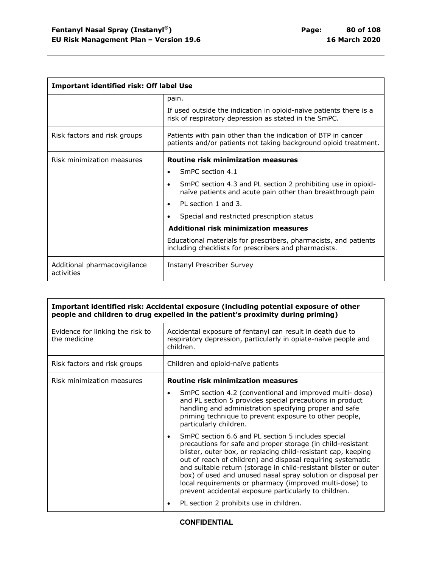| Important identified risk: Off label Use   |                                                                                                                                      |
|--------------------------------------------|--------------------------------------------------------------------------------------------------------------------------------------|
|                                            | pain.<br>If used outside the indication in opioid-naïve patients there is a<br>risk of respiratory depression as stated in the SmPC. |
| Risk factors and risk groups               | Patients with pain other than the indication of BTP in cancer<br>patients and/or patients not taking background opioid treatment.    |
| Risk minimization measures                 | <b>Routine risk minimization measures</b>                                                                                            |
|                                            | SmPC section 4.1<br>$\bullet$                                                                                                        |
|                                            | SmPC section 4.3 and PL section 2 prohibiting use in opioid-<br>naïve patients and acute pain other than breakthrough pain           |
|                                            | PL section 1 and 3.                                                                                                                  |
|                                            | Special and restricted prescription status                                                                                           |
|                                            | Additional risk minimization measures                                                                                                |
|                                            | Educational materials for prescribers, pharmacists, and patients<br>including checklists for prescribers and pharmacists.            |
| Additional pharmacovigilance<br>activities | Instanyl Prescriber Survey                                                                                                           |

| Important identified risk: Accidental exposure (including potential exposure of other<br>people and children to drug expelled in the patient's proximity during priming) |                                                                                                                                                                                                                                                                                                                                                                                                                                                                                                           |
|--------------------------------------------------------------------------------------------------------------------------------------------------------------------------|-----------------------------------------------------------------------------------------------------------------------------------------------------------------------------------------------------------------------------------------------------------------------------------------------------------------------------------------------------------------------------------------------------------------------------------------------------------------------------------------------------------|
| Evidence for linking the risk to<br>the medicine                                                                                                                         | Accidental exposure of fentanyl can result in death due to<br>respiratory depression, particularly in opiate-naïve people and<br>children.                                                                                                                                                                                                                                                                                                                                                                |
| Risk factors and risk groups                                                                                                                                             | Children and opioid-naïve patients                                                                                                                                                                                                                                                                                                                                                                                                                                                                        |
| Risk minimization measures                                                                                                                                               | <b>Routine risk minimization measures</b>                                                                                                                                                                                                                                                                                                                                                                                                                                                                 |
|                                                                                                                                                                          | SmPC section 4.2 (conventional and improved multi- dose)<br>and PL section 5 provides special precautions in product<br>handling and administration specifying proper and safe<br>priming technique to prevent exposure to other people,<br>particularly children.                                                                                                                                                                                                                                        |
|                                                                                                                                                                          | SmPC section 6.6 and PL section 5 includes special<br>precautions for safe and proper storage (in child-resistant<br>blister, outer box, or replacing child-resistant cap, keeping<br>out of reach of children) and disposal requiring systematic<br>and suitable return (storage in child-resistant blister or outer<br>box) of used and unused nasal spray solution or disposal per<br>local requirements or pharmacy (improved multi-dose) to<br>prevent accidental exposure particularly to children. |
|                                                                                                                                                                          | PL section 2 prohibits use in children.                                                                                                                                                                                                                                                                                                                                                                                                                                                                   |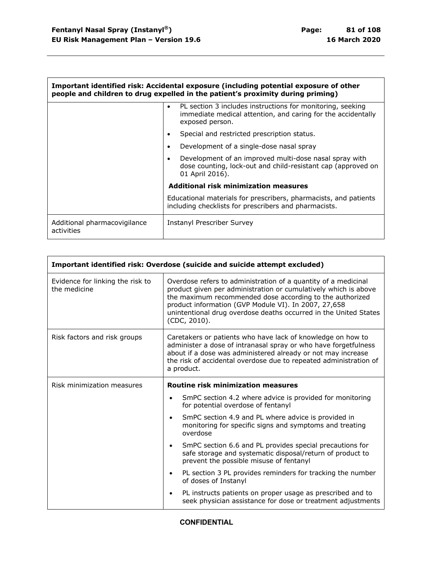$\mathbf{r}$ 

| Important identified risk: Accidental exposure (including potential exposure of other<br>people and children to drug expelled in the patient's proximity during priming) |                                                                                                                                               |
|--------------------------------------------------------------------------------------------------------------------------------------------------------------------------|-----------------------------------------------------------------------------------------------------------------------------------------------|
|                                                                                                                                                                          | PL section 3 includes instructions for monitoring, seeking<br>immediate medical attention, and caring for the accidentally<br>exposed person. |
|                                                                                                                                                                          | Special and restricted prescription status.                                                                                                   |
|                                                                                                                                                                          | Development of a single-dose nasal spray                                                                                                      |
|                                                                                                                                                                          | Development of an improved multi-dose nasal spray with<br>dose counting, lock-out and child-resistant cap (approved on<br>01 April 2016).     |
|                                                                                                                                                                          | Additional risk minimization measures                                                                                                         |
|                                                                                                                                                                          | Educational materials for prescribers, pharmacists, and patients<br>including checklists for prescribers and pharmacists.                     |
| Additional pharmacovigilance<br>activities                                                                                                                               | Instanyl Prescriber Survey                                                                                                                    |

| Important identified risk: Overdose (suicide and suicide attempt excluded) |                                                                                                                                                                                                                                                                                                                                           |
|----------------------------------------------------------------------------|-------------------------------------------------------------------------------------------------------------------------------------------------------------------------------------------------------------------------------------------------------------------------------------------------------------------------------------------|
| Evidence for linking the risk to<br>the medicine                           | Overdose refers to administration of a quantity of a medicinal<br>product given per administration or cumulatively which is above<br>the maximum recommended dose according to the authorized<br>product information (GVP Module VI). In 2007, 27,658<br>unintentional drug overdose deaths occurred in the United States<br>(CDC, 2010). |
| Risk factors and risk groups                                               | Caretakers or patients who have lack of knowledge on how to<br>administer a dose of intranasal spray or who have forgetfulness<br>about if a dose was administered already or not may increase<br>the risk of accidental overdose due to repeated administration of<br>a product.                                                         |
| Risk minimization measures                                                 | <b>Routine risk minimization measures</b>                                                                                                                                                                                                                                                                                                 |
|                                                                            | SmPC section 4.2 where advice is provided for monitoring<br>$\bullet$<br>for potential overdose of fentanyl                                                                                                                                                                                                                               |
|                                                                            | SmPC section 4.9 and PL where advice is provided in<br>$\bullet$<br>monitoring for specific signs and symptoms and treating<br>overdose                                                                                                                                                                                                   |
|                                                                            | SmPC section 6.6 and PL provides special precautions for<br>$\bullet$<br>safe storage and systematic disposal/return of product to<br>prevent the possible misuse of fentanyl                                                                                                                                                             |
|                                                                            | PL section 3 PL provides reminders for tracking the number<br>$\bullet$<br>of doses of Instanyl                                                                                                                                                                                                                                           |
|                                                                            | PL instructs patients on proper usage as prescribed and to<br>$\bullet$<br>seek physician assistance for dose or treatment adjustments                                                                                                                                                                                                    |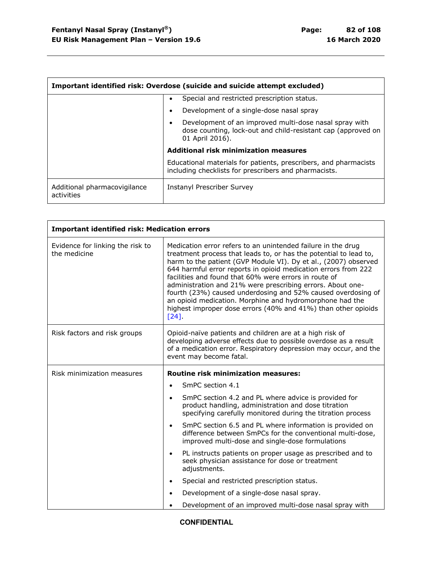| Important identified risk: Overdose (suicide and suicide attempt excluded) |                                                                                                                                           |
|----------------------------------------------------------------------------|-------------------------------------------------------------------------------------------------------------------------------------------|
|                                                                            | Special and restricted prescription status.                                                                                               |
|                                                                            | Development of a single-dose nasal spray                                                                                                  |
|                                                                            | Development of an improved multi-dose nasal spray with<br>dose counting, lock-out and child-resistant cap (approved on<br>01 April 2016). |
|                                                                            | <b>Additional risk minimization measures</b>                                                                                              |
|                                                                            | Educational materials for patients, prescribers, and pharmacists<br>including checklists for prescribers and pharmacists.                 |
| Additional pharmacovigilance<br>activities                                 | Instanyl Prescriber Survey                                                                                                                |

| <b>Important identified risk: Medication errors</b> |                                                                                                                                                                                                                                                                                                                                                                                                                                                                                                                                                                                                                  |
|-----------------------------------------------------|------------------------------------------------------------------------------------------------------------------------------------------------------------------------------------------------------------------------------------------------------------------------------------------------------------------------------------------------------------------------------------------------------------------------------------------------------------------------------------------------------------------------------------------------------------------------------------------------------------------|
| Evidence for linking the risk to<br>the medicine    | Medication error refers to an unintended failure in the drug<br>treatment process that leads to, or has the potential to lead to,<br>harm to the patient (GVP Module VI). Dy et al., (2007) observed<br>644 harmful error reports in opioid medication errors from 222<br>facilities and found that 60% were errors in route of<br>administration and 21% were prescribing errors. About one-<br>fourth (23%) caused underdosing and 52% caused overdosing of<br>an opioid medication. Morphine and hydromorphone had the<br>highest improper dose errors (40% and 41%) than other opioids<br>$\lceil 24 \rceil$ |
| Risk factors and risk groups                        | Opioid-naïve patients and children are at a high risk of<br>developing adverse effects due to possible overdose as a result<br>of a medication error. Respiratory depression may occur, and the<br>event may become fatal.                                                                                                                                                                                                                                                                                                                                                                                       |
| Risk minimization measures                          | <b>Routine risk minimization measures:</b>                                                                                                                                                                                                                                                                                                                                                                                                                                                                                                                                                                       |
|                                                     | SmPC section 4.1<br>$\bullet$                                                                                                                                                                                                                                                                                                                                                                                                                                                                                                                                                                                    |
|                                                     | SmPC section 4.2 and PL where advice is provided for<br>$\bullet$<br>product handling, administration and dose titration<br>specifying carefully monitored during the titration process                                                                                                                                                                                                                                                                                                                                                                                                                          |
|                                                     | SmPC section 6.5 and PL where information is provided on<br>$\bullet$                                                                                                                                                                                                                                                                                                                                                                                                                                                                                                                                            |
|                                                     | difference between SmPCs for the conventional multi-dose,<br>improved multi-dose and single-dose formulations                                                                                                                                                                                                                                                                                                                                                                                                                                                                                                    |
|                                                     | PL instructs patients on proper usage as prescribed and to<br>$\bullet$<br>seek physician assistance for dose or treatment<br>adjustments.                                                                                                                                                                                                                                                                                                                                                                                                                                                                       |
|                                                     | Special and restricted prescription status.<br>$\bullet$                                                                                                                                                                                                                                                                                                                                                                                                                                                                                                                                                         |
|                                                     | Development of a single-dose nasal spray.                                                                                                                                                                                                                                                                                                                                                                                                                                                                                                                                                                        |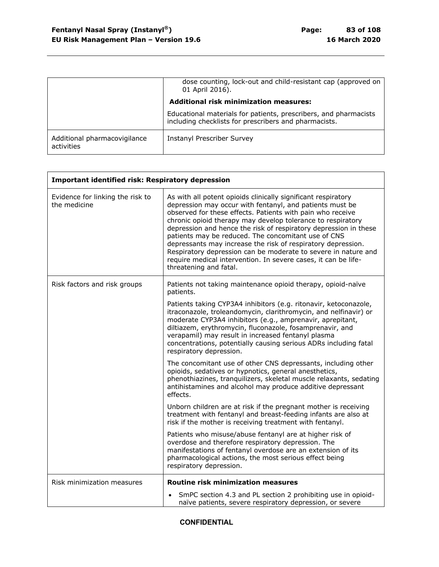|                                            | dose counting, lock-out and child-resistant cap (approved on<br>01 April 2016).                                           |
|--------------------------------------------|---------------------------------------------------------------------------------------------------------------------------|
|                                            | <b>Additional risk minimization measures:</b>                                                                             |
|                                            | Educational materials for patients, prescribers, and pharmacists<br>including checklists for prescribers and pharmacists. |
| Additional pharmacovigilance<br>activities | <b>Instanyl Prescriber Survey</b>                                                                                         |

| <b>Important identified risk: Respiratory depression</b> |                                                                                                                                                                                                                                                                                                                                                                                                                                                                                                                                                                                                                 |
|----------------------------------------------------------|-----------------------------------------------------------------------------------------------------------------------------------------------------------------------------------------------------------------------------------------------------------------------------------------------------------------------------------------------------------------------------------------------------------------------------------------------------------------------------------------------------------------------------------------------------------------------------------------------------------------|
| Evidence for linking the risk to<br>the medicine         | As with all potent opioids clinically significant respiratory<br>depression may occur with fentanyl, and patients must be<br>observed for these effects. Patients with pain who receive<br>chronic opioid therapy may develop tolerance to respiratory<br>depression and hence the risk of respiratory depression in these<br>patients may be reduced. The concomitant use of CNS<br>depressants may increase the risk of respiratory depression.<br>Respiratory depression can be moderate to severe in nature and<br>require medical intervention. In severe cases, it can be life-<br>threatening and fatal. |
| Risk factors and risk groups                             | Patients not taking maintenance opioid therapy, opioid-naïve<br>patients.                                                                                                                                                                                                                                                                                                                                                                                                                                                                                                                                       |
|                                                          | Patients taking CYP3A4 inhibitors (e.g. ritonavir, ketoconazole,<br>itraconazole, troleandomycin, clarithromycin, and nelfinavir) or<br>moderate CYP3A4 inhibitors (e.g., amprenavir, aprepitant,<br>diltiazem, erythromycin, fluconazole, fosamprenavir, and<br>verapamil) may result in increased fentanyl plasma<br>concentrations, potentially causing serious ADRs including fatal<br>respiratory depression.                                                                                                                                                                                              |
|                                                          | The concomitant use of other CNS depressants, including other<br>opioids, sedatives or hypnotics, general anesthetics,<br>phenothiazines, tranquilizers, skeletal muscle relaxants, sedating<br>antihistamines and alcohol may produce additive depressant<br>effects.                                                                                                                                                                                                                                                                                                                                          |
|                                                          | Unborn children are at risk if the pregnant mother is receiving<br>treatment with fentanyl and breast-feeding infants are also at<br>risk if the mother is receiving treatment with fentanyl.                                                                                                                                                                                                                                                                                                                                                                                                                   |
|                                                          | Patients who misuse/abuse fentanyl are at higher risk of<br>overdose and therefore respiratory depression. The<br>manifestations of fentanyl overdose are an extension of its<br>pharmacological actions, the most serious effect being<br>respiratory depression.                                                                                                                                                                                                                                                                                                                                              |
| Risk minimization measures                               | <b>Routine risk minimization measures</b>                                                                                                                                                                                                                                                                                                                                                                                                                                                                                                                                                                       |
|                                                          | SmPC section 4.3 and PL section 2 prohibiting use in opioid-<br>naïve patients, severe respiratory depression, or severe                                                                                                                                                                                                                                                                                                                                                                                                                                                                                        |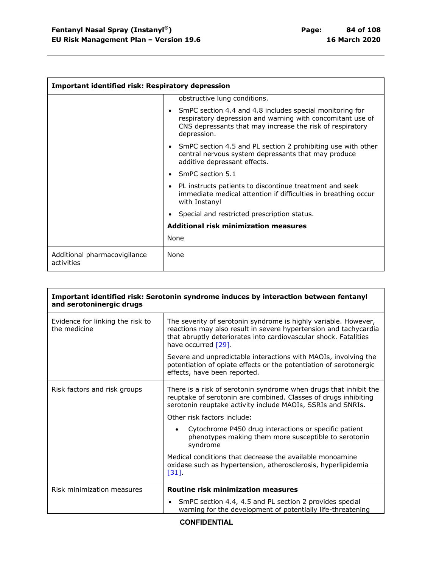| <b>Important identified risk: Respiratory depression</b> |                                                                                                                                                                                                    |
|----------------------------------------------------------|----------------------------------------------------------------------------------------------------------------------------------------------------------------------------------------------------|
|                                                          | obstructive lung conditions.                                                                                                                                                                       |
|                                                          | SmPC section 4.4 and 4.8 includes special monitoring for<br>respiratory depression and warning with concomitant use of<br>CNS depressants that may increase the risk of respiratory<br>depression. |
|                                                          | SmPC section 4.5 and PL section 2 prohibiting use with other<br>central nervous system depressants that may produce<br>additive depressant effects.                                                |
|                                                          | SmPC section 5.1                                                                                                                                                                                   |
|                                                          | PL instructs patients to discontinue treatment and seek<br>immediate medical attention if difficulties in breathing occur<br>with Instanyl                                                         |
|                                                          | Special and restricted prescription status.                                                                                                                                                        |
|                                                          | Additional risk minimization measures                                                                                                                                                              |
|                                                          | None                                                                                                                                                                                               |
| Additional pharmacovigilance<br>activities               | None                                                                                                                                                                                               |

| Important identified risk: Serotonin syndrome induces by interaction between fentanyl<br>and serotoninergic drugs |                                                                                                                                                                                                                                   |
|-------------------------------------------------------------------------------------------------------------------|-----------------------------------------------------------------------------------------------------------------------------------------------------------------------------------------------------------------------------------|
| Evidence for linking the risk to<br>the medicine                                                                  | The severity of serotonin syndrome is highly variable. However,<br>reactions may also result in severe hypertension and tachycardia<br>that abruptly deteriorates into cardiovascular shock. Fatalities<br>have occurred $[29]$ . |
|                                                                                                                   | Severe and unpredictable interactions with MAOIs, involving the<br>potentiation of opiate effects or the potentiation of serotonergic<br>effects, have been reported.                                                             |
| Risk factors and risk groups                                                                                      | There is a risk of serotonin syndrome when drugs that inhibit the<br>reuptake of serotonin are combined. Classes of drugs inhibiting<br>serotonin reuptake activity include MAOIs, SSRIs and SNRIs.                               |
|                                                                                                                   | Other risk factors include:                                                                                                                                                                                                       |
|                                                                                                                   | Cytochrome P450 drug interactions or specific patient<br>phenotypes making them more susceptible to serotonin<br>syndrome                                                                                                         |
|                                                                                                                   | Medical conditions that decrease the available monoamine<br>oxidase such as hypertension, atherosclerosis, hyperlipidemia<br>$[31]$ .                                                                                             |
| Risk minimization measures                                                                                        | Routine risk minimization measures                                                                                                                                                                                                |
|                                                                                                                   | • SmPC section 4.4, 4.5 and PL section 2 provides special<br>warning for the development of potentially life-threatening                                                                                                          |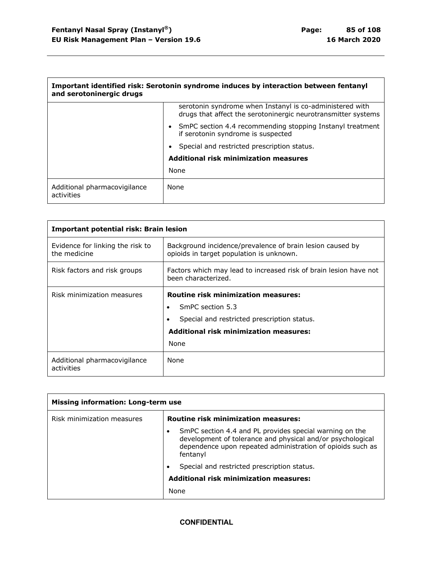$\mathbf{r}$ 

| Important identified risk: Serotonin syndrome induces by interaction between fentanyl<br>and serotoninergic drugs |                                                                                                                           |
|-------------------------------------------------------------------------------------------------------------------|---------------------------------------------------------------------------------------------------------------------------|
|                                                                                                                   | serotonin syndrome when Instanyl is co-administered with<br>drugs that affect the serotoninergic neurotransmitter systems |
|                                                                                                                   | • SmPC section 4.4 recommending stopping Instanyl treatment<br>if serotonin syndrome is suspected                         |
|                                                                                                                   | Special and restricted prescription status.                                                                               |
|                                                                                                                   | <b>Additional risk minimization measures</b>                                                                              |
|                                                                                                                   | None                                                                                                                      |
| Additional pharmacovigilance<br>activities                                                                        | None                                                                                                                      |

| <b>Important potential risk: Brain lesion</b>    |                                                                                                                                                                        |
|--------------------------------------------------|------------------------------------------------------------------------------------------------------------------------------------------------------------------------|
| Evidence for linking the risk to<br>the medicine | Background incidence/prevalence of brain lesion caused by<br>opioids in target population is unknown.                                                                  |
| Risk factors and risk groups                     | Factors which may lead to increased risk of brain lesion have not<br>been characterized.                                                                               |
| Risk minimization measures                       | <b>Routine risk minimization measures:</b><br>SmPC section 5.3<br>Special and restricted prescription status.<br><b>Additional risk minimization measures:</b><br>None |
| Additional pharmacovigilance<br>activities       | None                                                                                                                                                                   |

| <b>Missing information: Long-term use</b> |                                                                                                                                                                                                 |
|-------------------------------------------|-------------------------------------------------------------------------------------------------------------------------------------------------------------------------------------------------|
| Risk minimization measures                | <b>Routine risk minimization measures:</b>                                                                                                                                                      |
|                                           | SmPC section 4.4 and PL provides special warning on the<br>development of tolerance and physical and/or psychological<br>dependence upon repeated administration of opioids such as<br>fentanyl |
|                                           | Special and restricted prescription status.                                                                                                                                                     |
|                                           | <b>Additional risk minimization measures:</b>                                                                                                                                                   |
|                                           | None                                                                                                                                                                                            |